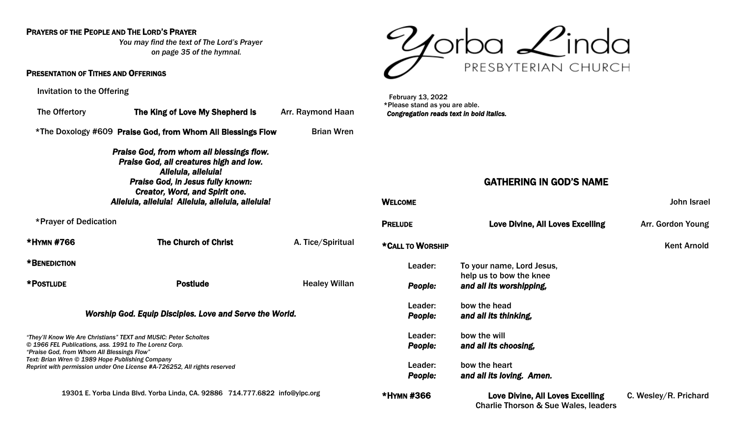#### PRAYERS OF THE PEOPLE AND THE LORD'S PRAYER

*You may find the text of The Lord's Prayer on page 35 of the hymnal.*

#### PRESENTATION OF TITHES AND OFFERINGS

Invitation to the Offering

| The Offertory                                                                                                                                                                                                                                         | The King of Love My Shepherd Is Arr. Raymond Haan                                                                         |                      |  |  |  |  |  |  |  |
|-------------------------------------------------------------------------------------------------------------------------------------------------------------------------------------------------------------------------------------------------------|---------------------------------------------------------------------------------------------------------------------------|----------------------|--|--|--|--|--|--|--|
| *The Doxology #609 Praise God, from Whom All Blessings Flow                                                                                                                                                                                           | <b>Brian Wren</b>                                                                                                         |                      |  |  |  |  |  |  |  |
| Praise God, from whom all blessings flow.<br>Praise God, all creatures high and low.<br>Alleluia, alleluia!<br><b>Praise God, in Jesus fully known:</b><br><b>Creator, Word, and Spirit one.</b><br>Alleluia, alleluia! Alleluia, alleluia, alleluia! |                                                                                                                           |                      |  |  |  |  |  |  |  |
| *Prayer of Dedication                                                                                                                                                                                                                                 |                                                                                                                           |                      |  |  |  |  |  |  |  |
| *HYMN #766                                                                                                                                                                                                                                            | <b>The Church of Christ</b>                                                                                               | A. Tice/Spiritual    |  |  |  |  |  |  |  |
| *BENEDICTION                                                                                                                                                                                                                                          |                                                                                                                           |                      |  |  |  |  |  |  |  |
| *POSTLUDE                                                                                                                                                                                                                                             | <b>Postlude</b>                                                                                                           | <b>Healey Willan</b> |  |  |  |  |  |  |  |
| Worship God. Equip Disciples. Love and Serve the World.                                                                                                                                                                                               |                                                                                                                           |                      |  |  |  |  |  |  |  |
|                                                                                                                                                                                                                                                       | "They'll Know We Are Christians" TEXT and MUSIC: Peter Scholtes<br>© 1966 FEL Publications, ass. 1991 to The Lorenz Corp. |                      |  |  |  |  |  |  |  |

*"Praise God, from Whom All Blessings Flow" Text: Brian Wren © 1989 Hope Publishing Company*

*Reprint with permission under One License #A-726252, All rights reserved* 

19301 E. Yorba Linda Blvd. Yorba Linda, CA. 92886 714.777.6822 [info@ylpc.org](mailto:info@ylpc.org)



 February 13, 2022 \*Please stand as you are able. *Congregation reads text in bold italics.* 

# GATHERING IN GOD'S NAME

| <b>WELCOME</b> |                  |                                                                                            | John Israel           |  |
|----------------|------------------|--------------------------------------------------------------------------------------------|-----------------------|--|
| <b>PRELUDE</b> |                  | Love Divine, All Loves Excelling                                                           | Arr. Gordon Young     |  |
|                | *CALL TO WORSHIP |                                                                                            | <b>Kent Arnold</b>    |  |
|                | Leader:          | To your name, Lord Jesus,<br>help us to bow the knee                                       |                       |  |
|                | People:          | and all its worshipping,                                                                   |                       |  |
|                | Leader:          | bow the head                                                                               |                       |  |
|                | <b>People:</b>   | and all its thinking,                                                                      |                       |  |
|                | Leader:          | bow the will                                                                               |                       |  |
|                | People:          | and all its choosing,                                                                      |                       |  |
|                | Leader:          | bow the heart                                                                              |                       |  |
|                | <b>People:</b>   | and all its loving. Amen.                                                                  |                       |  |
| *HYMN #366     |                  | <b>Love Divine, All Loves Excelling</b><br><b>Charlie Thorson &amp; Sue Wales, leaders</b> | C. Wesley/R. Prichard |  |